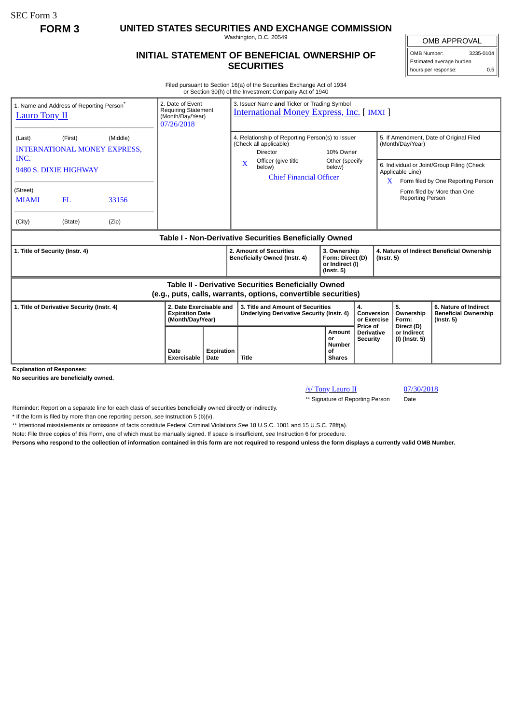SEC Form 3

**FORM 3 UNITED STATES SECURITIES AND EXCHANGE COMMISSION**

Washington, D.C. 20549

## **INITIAL STATEMENT OF BENEFICIAL OWNERSHIP OF SECURITIES**

OMB APPROVAL OMB Number: 3235-0104 Estimated average burden hours per response: 0.5

Filed pursuant to Section 16(a) of the Securities Exchange Act of 1934 or Section 30(h) of the Investment Company Act of 1940

| 1. Name and Address of Reporting Person <sup>®</sup><br><b>Lauro Tony II</b>                                          |         |       | 2. Date of Event<br><b>Requiring Statement</b><br>(Month/Day/Year)<br>07/26/2018 |                           | 3. Issuer Name and Ticker or Trading Symbol<br><b>International Money Express, Inc. [IMXI]</b>                                      |                                                                 |                                                      |                                                                |                                                                                                            |                                             |                                                                          |
|-----------------------------------------------------------------------------------------------------------------------|---------|-------|----------------------------------------------------------------------------------|---------------------------|-------------------------------------------------------------------------------------------------------------------------------------|-----------------------------------------------------------------|------------------------------------------------------|----------------------------------------------------------------|------------------------------------------------------------------------------------------------------------|---------------------------------------------|--------------------------------------------------------------------------|
| (First)<br>(Middle)<br>(Last)<br><b>INTERNATIONAL MONEY EXPRESS,</b><br>INC.                                          |         |       |                                                                                  |                           | 4. Relationship of Reporting Person(s) to Issuer<br>(Check all applicable)<br>Director                                              |                                                                 | 10% Owner<br>Other (specify<br>below)                |                                                                | 5. If Amendment, Date of Original Filed<br>(Month/Day/Year)                                                |                                             |                                                                          |
| 9480 S. DIXIE HIGHWAY                                                                                                 |         |       |                                                                                  |                           | $\mathbf{x}$                                                                                                                        | Officer (give title<br>below)<br><b>Chief Financial Officer</b> |                                                      |                                                                | 6. Individual or Joint/Group Filing (Check<br>Applicable Line)<br>Form filed by One Reporting Person<br>X. |                                             |                                                                          |
| (Street)<br><b>MIAMI</b>                                                                                              | FL      | 33156 |                                                                                  |                           |                                                                                                                                     |                                                                 |                                                      |                                                                |                                                                                                            | Reporting Person                            | Form filed by More than One                                              |
| (City)                                                                                                                | (State) | (Zip) |                                                                                  |                           |                                                                                                                                     |                                                                 |                                                      |                                                                |                                                                                                            |                                             |                                                                          |
| Table I - Non-Derivative Securities Beneficially Owned                                                                |         |       |                                                                                  |                           |                                                                                                                                     |                                                                 |                                                      |                                                                |                                                                                                            |                                             |                                                                          |
| 1. Title of Security (Instr. 4)                                                                                       |         |       |                                                                                  |                           | 2. Amount of Securities<br>3. Ownership<br>Beneficially Owned (Instr. 4)<br>Form: Direct (D)<br>or Indirect (I)<br>$($ Instr. 5 $)$ |                                                                 |                                                      | 4. Nature of Indirect Beneficial Ownership<br>$($ Instr. 5 $)$ |                                                                                                            |                                             |                                                                          |
| Table II - Derivative Securities Beneficially Owned<br>(e.g., puts, calls, warrants, options, convertible securities) |         |       |                                                                                  |                           |                                                                                                                                     |                                                                 |                                                      |                                                                |                                                                                                            |                                             |                                                                          |
| 1. Title of Derivative Security (Instr. 4)<br><b>Explanation of Responses:</b>                                        |         |       | 2. Date Exercisable and<br><b>Expiration Date</b><br>(Month/Day/Year)            |                           | 3. Title and Amount of Securities<br><b>Underlying Derivative Security (Instr. 4)</b>                                               |                                                                 |                                                      | 4.<br>Conversion<br>or Exercise<br>Price of                    |                                                                                                            | 5.<br>Ownership<br>Form:                    | 6. Nature of Indirect<br><b>Beneficial Ownership</b><br>$($ lnstr. 5 $)$ |
|                                                                                                                       |         |       | Date<br><b>Exercisable</b>                                                       | <b>Expiration</b><br>Date | <b>Title</b>                                                                                                                        |                                                                 | Amount<br>or<br><b>Number</b><br>Οf<br><b>Shares</b> | <b>Derivative</b><br><b>Security</b>                           |                                                                                                            | Direct (D)<br>or Indirect<br>(I) (Instr. 5) |                                                                          |

**Explanation of Responses:**

**No securities are beneficially owned.**

/s/ Tony Lauro II 07/30/2018

\*\* Signature of Reporting Person Date

Reminder: Report on a separate line for each class of securities beneficially owned directly or indirectly.

\* If the form is filed by more than one reporting person, *see* Instruction 5 (b)(v).

\*\* Intentional misstatements or omissions of facts constitute Federal Criminal Violations *See* 18 U.S.C. 1001 and 15 U.S.C. 78ff(a).

Note: File three copies of this Form, one of which must be manually signed. If space is insufficient, *see* Instruction 6 for procedure.

**Persons who respond to the collection of information contained in this form are not required to respond unless the form displays a currently valid OMB Number.**